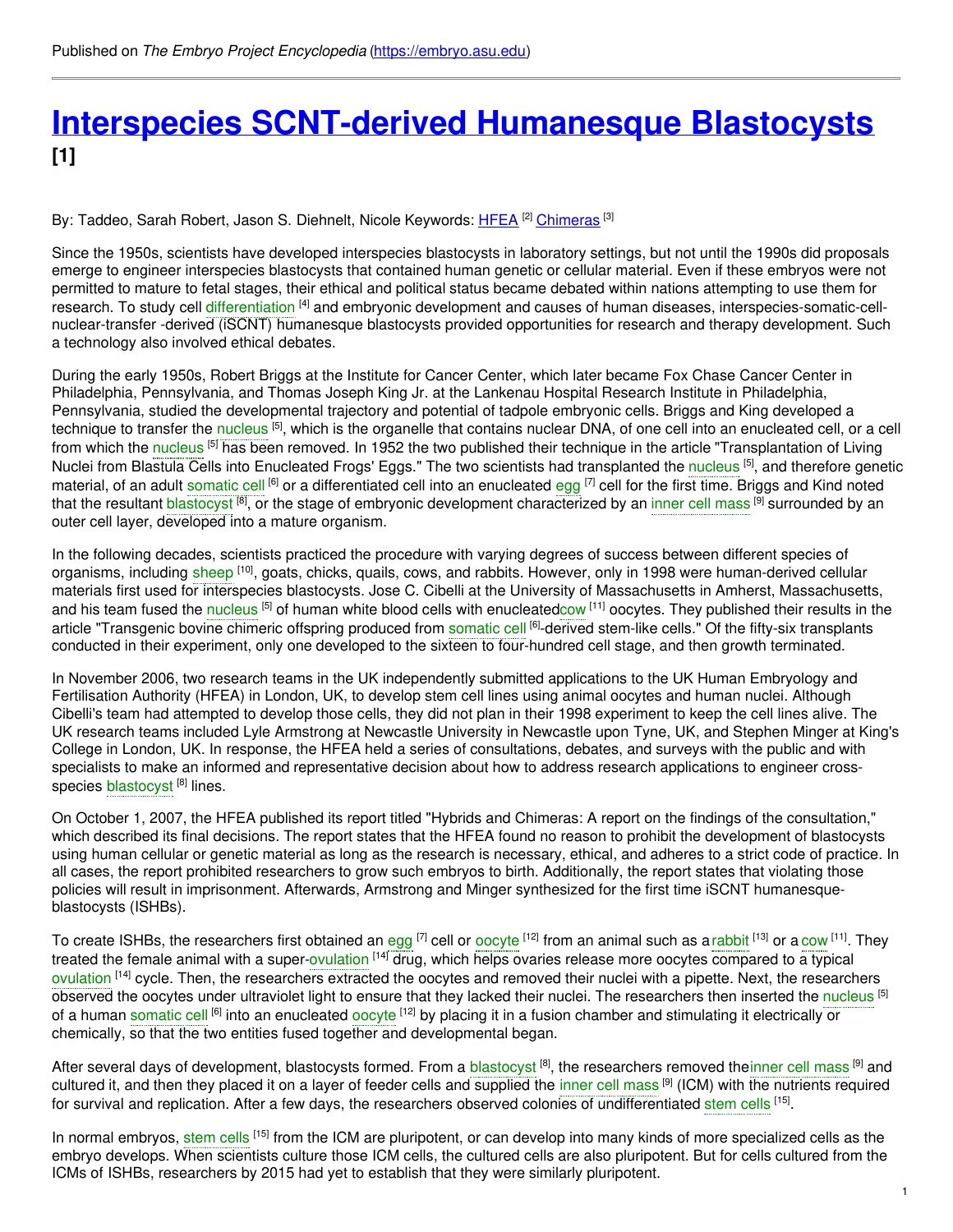## **Interspecies [SCNT-derived](https://embryo.asu.edu/pages/interspecies-scnt-derived-humanesque-blastocysts) Humanesque Blastocysts [1]**

By: Taddeo, Sarah Robert, Jason S. Diehnelt, Nicole Keywords: <u>[HFEA](https://embryo.asu.edu/keywords/hfea) <sup>[2]</sup> [Chimeras](https://embryo.asu.edu/keywords/chimeras)</u> <sup>[3]</sup>

Since the 1950s, scientists have developed interspecies blastocysts in laboratory settings, but not until the 1990s did proposals emerge to engineer interspecies blastocysts that contained human genetic or cellular material. Even if these embryos were not permitted to mature to fetal stages, their ethical and political status became debated within nations attempting to use them for research. To study cell [differentiation](https://embryo.asu.edu/search?text=differentiation) <sup>[4]</sup> and embryonic development and causes of human diseases, interspecies-somatic-cellnuclear-transfer -derived (iSCNT) humanesque blastocysts provided opportunities for research and therapy development. Such a technology also involved ethical debates.

During the early 1950s, Robert Briggs at the Institute for Cancer Center, which later became Fox Chase Cancer Center in Philadelphia, Pennsylvania, and Thomas Joseph King Jr. at the Lankenau Hospital Research Institute in Philadelphia, Pennsylvania, studied the developmental trajectory and potential of tadpole embryonic cells. Briggs and King developed a technique to transfer the [nucleus](https://embryo.asu.edu/search?text=nucleus) <sup>[5]</sup>, which is the organelle that contains nuclear DNA, of one cell into an enucleated cell, or a cell from which the [nucleus](https://embryo.asu.edu/search?text=nucleus) <sup>[5]</sup> has been removed. In 1952 the two published their technique in the article "Transplantation of Living Nuclei from Blastula Cells into Enucleated Frogs' Eggs." The two scientists had transplanted the [nucleus](https://embryo.asu.edu/search?text=nucleus) <sup>[5]</sup>, and therefore genetic material, of an adult [somatic](https://embryo.asu.edu/search?text=somatic%20cell) cell <sup>[6]</sup> or a differentiated cell into an enucleated [egg](https://embryo.asu.edu/search?text=egg) <sup>[7]</sup> cell for the first time. Briggs and Kind noted that the resultant <mark>[blastocyst](https://embryo.asu.edu/search?text=blastocyst) [8]</mark>, or the stage of embryonic development characterized by an inner cell [mass](https://embryo.asu.edu/search?text=inner%20cell%20mass) [9] surrounded by an outer cell layer, developed into a mature organism.

In the following decades, scientists practiced the procedure with varying degrees of success between different species of organisms, including [sheep](https://embryo.asu.edu/search?text=sheep) <sup>[10]</sup>, goats, chicks, quails, cows, and rabbits. However, only in 1998 were human-derived cellular materials first used for interspecies blastocysts. Jose C. Cibelli at the University of Massachusetts in Amherst, Massachusetts, and his team fused the [nucleus](https://embryo.asu.edu/search?text=nucleus) <sup>[5]</sup> of human white blood cells with enucleate[dcow](https://embryo.asu.edu/search?text=cow) <sup>[11]</sup> oocytes. They published their results in the article "Transgenic bovine chimeric offspring produced from [somatic](https://embryo.asu.edu/search?text=somatic%20cell) cell <sup>[6]</sup>-derived stem-like cells." Of the fifty-six transplants conducted in their experiment, only one developed to the sixteen to four-hundred cell stage, and then growth terminated.

In November 2006, two research teams in the UK independently submitted applications to the UK Human Embryology and Fertilisation Authority (HFEA) in London, UK, to develop stem cell lines using animal oocytes and human nuclei. Although Cibelli's team had attempted to develop those cells, they did not plan in their 1998 experiment to keep the cell lines alive. The UK research teams included Lyle Armstrong at Newcastle University in Newcastle upon Tyne, UK, and Stephen Minger at King's College in London, UK. In response, the HFEA held a series of consultations, debates, and surveys with the public and with specialists to make an informed and representative decision about how to address research applications to engineer crossspecies [blastocyst](https://embryo.asu.edu/search?text=blastocyst) <sup>[8]</sup> lines.

On October 1, 2007, the HFEA published its report titled "Hybrids and Chimeras: A report on the findings of the consultation," which described its final decisions. The report states that the HFEA found no reason to prohibit the development of blastocysts using human cellular or genetic material as long as the research is necessary, ethical, and adheres to a strict code of practice. In all cases, the report prohibited researchers to grow such embryos to birth. Additionally, the report states that violating those policies will result in imprisonment. Afterwards, Armstrong and Minger synthesized for the first time iSCNT humanesqueblastocysts (ISHBs).

To create ISHBs, the researchers first obtained an [egg](https://embryo.asu.edu/search?text=egg) <sup>[7]</sup> cell or [oocyte](https://embryo.asu.edu/search?text=oocyte) <sup>[12]</sup> from an animal such as a [rabbit](https://embryo.asu.edu/search?text=rabbit) <sup>[13]</sup> or a [cow](https://embryo.asu.edu/search?text=cow) <sup>[11]</sup>. They treated the female animal with a super[-ovulation](https://embryo.asu.edu/search?text=ovulation) <sup>[14]</sup> drug, which helps ovaries release more oocytes compared to a typical [ovulation](https://embryo.asu.edu/search?text=ovulation) <sup>[14]</sup> cycle. Then, the researchers extracted the oocytes and removed their nuclei with a pipette. Next, the researchers observed the oocytes under ultraviolet light to ensure that they lacked their nuclei. The researchers then inserted the [nucleus](https://embryo.asu.edu/search?text=nucleus) <sup>[5]</sup> of a human [somatic](https://embryo.asu.edu/search?text=somatic%20cell) cell <sup>[6]</sup> into an enucleated [oocyte](https://embryo.asu.edu/search?text=oocyte) <sup>[12]</sup> by placing it in a fusion chamber and stimulating it electrically or chemically, so that the two entities fused together and developmental began.

After several days of development, [blastocyst](https://embryo.asu.edu/search?text=blastocyst)s formed. From a blastocyst <sup>[8]</sup>, the researchers removed the[inner](https://embryo.asu.edu/search?text=inner%20cell%20mass) cell mass <sup>[9]</sup> and cultured it, and then they placed it on a layer of feeder cells and supplied the [inner](https://embryo.asu.edu/search?text=inner%20cell%20mass) cell mass <sup>[9]</sup> (ICM) with the nutrients required for survival and replication. After a few days, the researchers observed colonies of undifferentiated [stem](https://embryo.asu.edu/search?text=stem%20cells) cells <sup>[15]</sup>.

In normal embryos, [stem](https://embryo.asu.edu/search?text=stem%20cells) cells [15] from the ICM are pluripotent, or can develop into many kinds of more specialized cells as the embryo develops. When scientists culture those ICM cells, the cultured cells are also pluripotent. But for cells cultured from the ICMs of ISHBs, researchers by 2015 had yet to establish that they were similarly pluripotent.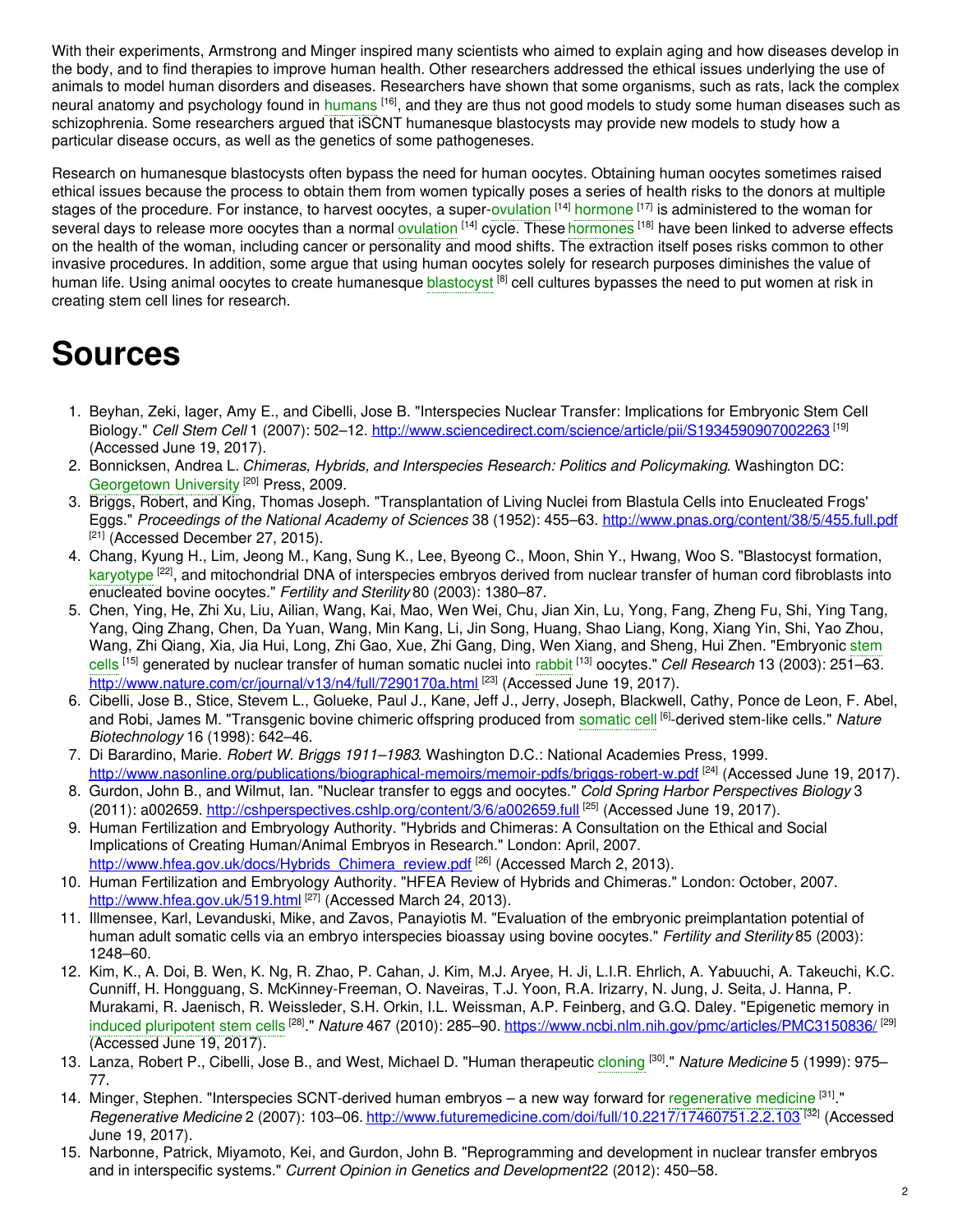With their experiments, Armstrong and Minger inspired many scientists who aimed to explain aging and how diseases develop in the body, and to find therapies to improve human health. Other researchers addressed the ethical issues underlying the use of animals to model human disorders and diseases. Researchers have shown that some organisms, such as rats, lack the complex neural anatomy and psychology found in [humans](https://embryo.asu.edu/search?text=humans) <sup>[16]</sup>, and they are thus not good models to study some human diseases such as schizophrenia. Some researchers argued that *iSCNT* humanesque blastocysts may provide new models to study how a particular disease occurs, as well as the genetics of some pathogeneses.

Research on humanesque blastocysts often bypass the need for human oocytes. Obtaining human oocytes sometimes raised ethical issues because the process to obtain them from women typically poses a series of health risks to the donors at multiple stages of the procedure. For instance, to harvest oocytes, a super-[ovulation](https://embryo.asu.edu/search?text=ovulation) <sup>[14]</sup> [hormone](https://embryo.asu.edu/search?text=hormone) <sup>[17]</sup> is administered to the woman for several days to release more oocytes than a normal [ovulation](https://embryo.asu.edu/search?text=ovulation) <sup>[14]</sup> cycle. These [hormones](https://embryo.asu.edu/search?text=hormones) <sup>[18]</sup> have been linked to adverse effects on the health of the woman, including cancer or personality and mood shifts. The extraction itself poses risks common to other invasive procedures. In addition, some argue that using human oocytes solely for research purposes diminishes the value of human life. Using animal oocytes to create humanesque <mark>[blastocyst](https://embryo.asu.edu/search?text=blastocyst) <sup>[8]</sup> cell cultures bypasses the need to put women at risk in</mark> creating stem cell lines for research.

# **Sources**

- 1. Beyhan, Zeki, Iager, Amy E., and Cibelli, Jose B. "Interspecies Nuclear Transfer: Implications for Embryonic Stem Cell Biology." *Cell Stem Cell* 1 (2007): 502–12. <http://www.sciencedirect.com/science/article/pii/S1934590907002263> [19] (Accessed June 19, 2017).
- 2. Bonnicksen, Andrea L. *Chimeras, Hybrids, and Interspecies Research: Politics and Policymaking*. Washington DC: [Georgetown](https://embryo.asu.edu/search?text=Georgetown%20University) University<sup>[20]</sup> Press, 2009.
- 3. Briggs, Robert, and King, Thomas Joseph. "Transplantation of Living Nuclei from Blastula Cells into Enucleated Frogs' Eggs." *Proceedings of the National Academy of Sciences* 38 (1952): 455–63. <http://www.pnas.org/content/38/5/455.full.pdf> [21] (Accessed December 27, 2015).
- 4. Chang, Kyung H., Lim, Jeong M., Kang, Sung K., Lee, Byeong C., Moon, Shin Y., Hwang, Woo S. "Blastocyst formation, [karyotype](https://embryo.asu.edu/search?text=karyotype) <sup>[22]</sup>, and mitochondrial DNA of interspecies embryos derived from nuclear transfer of human cord fibroblasts into enucleated bovine oocytes." *Fertility and Sterility* 80 (2003): 1380–87.
- 5. Chen, Ying, He, Zhi Xu, Liu, Ailian, Wang, Kai, Mao, Wen Wei, Chu, Jian Xin, Lu, Yong, Fang, Zheng Fu, Shi, Ying Tang, Yang, Qing Zhang, Chen, Da Yuan, Wang, Min Kang, Li, Jin Song, Huang, Shao Liang, Kong, Xiang Yin, Shi, Yao Zhou, Wang, Zhi Qiang, Xia, Jia Hui, Long, Zhi Gao, Xue, Zhi Gang, Ding, Wen Xiang, and Sheng, Hui Zhen. ["Embryonic](https://embryo.asu.edu/search?text=stem%20cells) stem cells [15] generated by nuclear transfer of human somatic nuclei into [rabbit](https://embryo.asu.edu/search?text=rabbit) [13] oocytes." *Cell Research* 13 (2003): 251–63. <http://www.nature.com/cr/journal/v13/n4/full/7290170a.html><sup>[23]</sup> (Accessed June 19, 2017).
- 6. Cibelli, Jose B., Stice, Stevem L., Golueke, Paul J., Kane, Jeff J., Jerry, Joseph, Blackwell, Cathy, Ponce de Leon, F. Abel, and Robi, James M. "Transgenic bovine chimeric offspring produced from [somatic](https://embryo.asu.edu/search?text=somatic%20cell) cell [6]-derived stem-like cells." *Nature Biotechnology* 16 (1998): 642–46.
- 7. Di Barardino, Marie. *Robert W. Briggs 1911–1983*. Washington D.C.: National Academies Press, 1999. <http://www.nasonline.org/publications/biographical-memoirs/memoir-pdfs/briggs-robert-w.pdf> <sup>[24]</sup> (Accessed June 19, 2017).
- 8. Gurdon, John B., and Wilmut, Ian. "Nuclear transfer to eggs and oocytes." *Cold Spring Harbor Perspectives Biology* 3 (2011): a002659. <http://cshperspectives.cshlp.org/content/3/6/a002659.full><sup>[25]</sup> (Accessed June 19, 2017).
- 9. Human Fertilization and Embryology Authority. "Hybrids and Chimeras: A Consultation on the Ethical and Social Implications of Creating Human/Animal Embryos in Research." London: April, 2007. [http://www.hfea.gov.uk/docs/Hybrids\\_Chimera\\_review.pdf](http://www.hfea.gov.uk/docs/Hybrids_Chimera_review.pdf) <sup>[26]</sup> (Accessed March 2, 2013).
- 10. Human Fertilization and Embryology Authority. "HFEA Review of Hybrids and Chimeras." London: October, 2007. <http://www.hfea.gov.uk/519.html> [27] (Accessed March 24, 2013).
- 11. Illmensee, Karl, Levanduski, Mike, and Zavos, Panayiotis M. "Evaluation of the embryonic preimplantation potential of human adult somatic cells via an embryo interspecies bioassay using bovine oocytes." *Fertility and Sterility* 85 (2003): 1248–60.
- 12. Kim, K., A. Doi, B. Wen, K. Ng, R. Zhao, P. Cahan, J. Kim, M.J. Aryee, H. Ji, L.I.R. Ehrlich, A. Yabuuchi, A. Takeuchi, K.C. Cunniff, H. Hongguang, S. McKinney-Freeman, O. Naveiras, T.J. Yoon, R.A. Irizarry, N. Jung, J. Seita, J. Hanna, P. Murakami, R. Jaenisch, R. Weissleder, S.H. Orkin, I.L. Weissman, A.P. Feinberg, and G.Q. Daley. "Epigenetic memory in induced [pluripotent](https://embryo.asu.edu/search?text=induced%20pluripotent%20stem%20cells) stem cells <sup>[28]</sup>." *Nature* 467 (2010): 285–90. <u><https://www.ncbi.nlm.nih.gov/pmc/articles/PMC3150836/></u> <sup>[29]</sup> (Accessed June 19, 2017).
- 13. Lanza, Robert P., Cibelli, Jose B., and West, Michael D. "Human therapeutic [cloning](https://embryo.asu.edu/search?text=cloning) [30] ." *Nature Medicine* 5 (1999): 975– 77.
- 14. Minger, Stephen. "Interspecies SCNT-derived human embryos a new way forward for [regenerative](https://embryo.asu.edu/search?text=regenerative%20medicine) medicine <sup>[31]</sup>." *Regenerative Medicine* 2 (2007): 103–06. <http://www.futuremedicine.com/doi/full/10.2217/17460751.2.2.103> [32] (Accessed June 19, 2017).
- 15. Narbonne, Patrick, Miyamoto, Kei, and Gurdon, John B. "Reprogramming and development in nuclear transfer embryos and in interspecific systems." *Current Opinion in Genetics and Development*22 (2012): 450–58.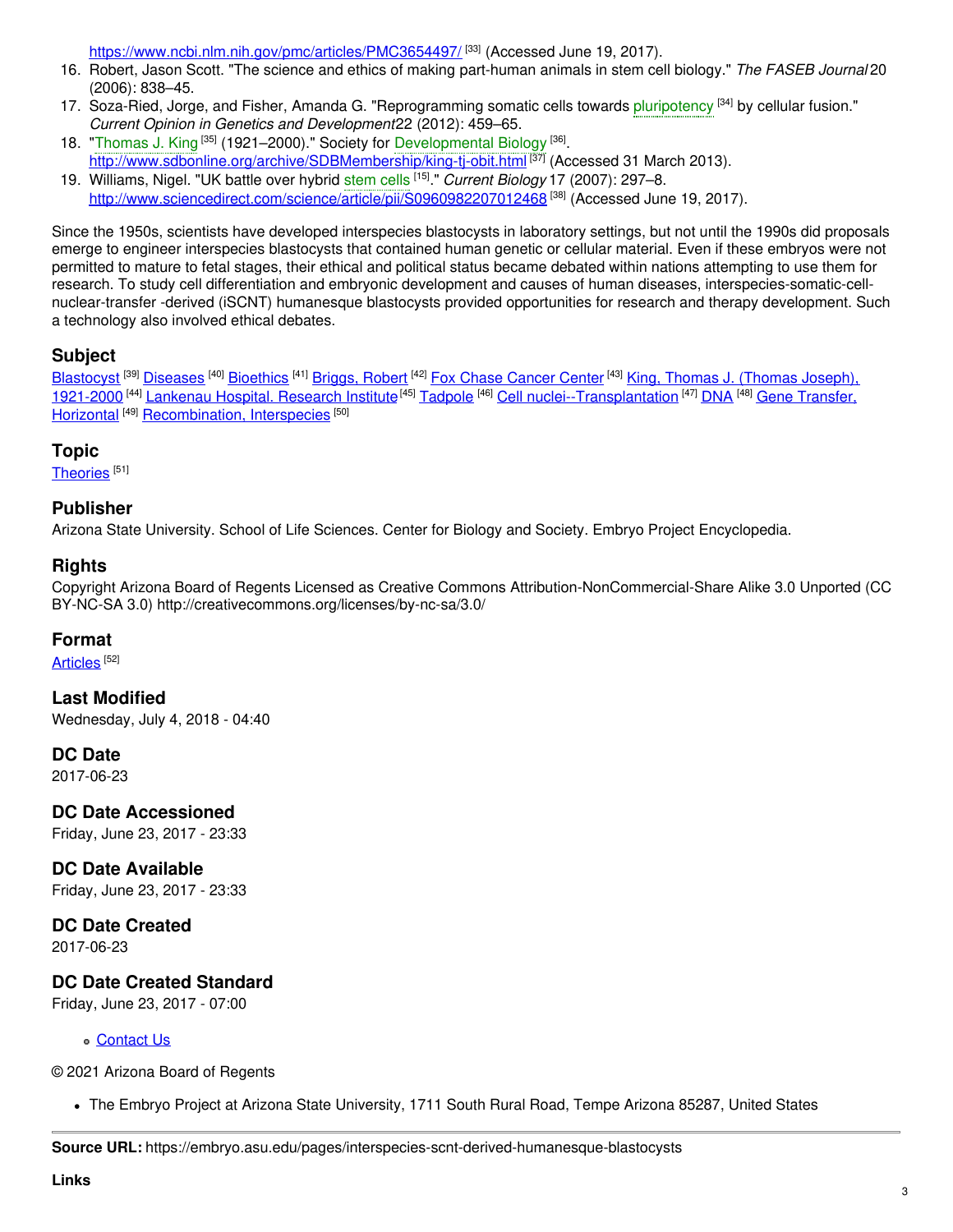<https://www.ncbi.nlm.nih.gov/pmc/articles/PMC3654497/> <sup>[33]</sup> (Accessed June 19, 2017).

- 16. Robert, Jason Scott. "The science and ethics of making part-human animals in stem cell biology." *The FASEB Journal* 20 (2006): 838–45.
- 17. Soza-Ried, Jorge, and Fisher, Amanda G. "Reprogramming somatic cells towards [pluripotency](https://embryo.asu.edu/search?text=pluripotency) <sup>[34]</sup> by cellular fusion." *Current Opinion in Genetics and Development*22 (2012): 459–65.
- 18. "[Thomas](https://embryo.asu.edu/search?text=Thomas%20J.%20King) J. King<sup>[35]</sup> (1921–2000)." Society for [Developmental](https://embryo.asu.edu/search?text=Developmental%20Biology) Biology<sup>[36]</sup>. <http://www.sdbonline.org/archive/SDBMembership/king-tj-obit.html><sup>[37]</sup> (Accessed 31 March 2013).
- 19. Williams, Nigel. "UK battle over hybrid [stem](https://embryo.asu.edu/search?text=stem%20cells) cells [15] ." *Current Biology* 17 (2007): 297–8. <http://www.sciencedirect.com/science/article/pii/S0960982207012468> <sup>[38]</sup> (Accessed June 19, 2017).

Since the 1950s, scientists have developed interspecies blastocysts in laboratory settings, but not until the 1990s did proposals emerge to engineer interspecies blastocysts that contained human genetic or cellular material. Even if these embryos were not permitted to mature to fetal stages, their ethical and political status became debated within nations attempting to use them for research. To study cell differentiation and embryonic development and causes of human diseases, interspecies-somatic-cellnuclear-transfer -derived (iSCNT) humanesque blastocysts provided opportunities for research and therapy development. Such a technology also involved ethical debates.

#### **Subject**

[Blastocyst](https://embryo.asu.edu/library-congress-subject-headings/blastocyst) <sup>[39]</sup> [Diseases](https://embryo.asu.edu/library-congress-subject-headings/diseases) <sup>[40]</sup> [Bioethics](https://embryo.asu.edu/library-congress-subject-headings/bioethics) <sup>[41]</sup> [Briggs,](https://embryo.asu.edu/library-congress-subject-headings/briggs-robert) Robert <sup>[42]</sup> Fox Chase [Cancer](https://embryo.asu.edu/library-congress-subject-headings/fox-chase-cancer-center) Center <sup>[43]</sup> King, Thomas J. (Thomas Joseph), 1921-2000 <sup>[44]</sup> [Lankenau](https://embryo.asu.edu/library-congress-subject-headings/lankenau-hospital-research-institute) Hospital. Research Institute<sup>[45]</sup> [Tadpole](https://embryo.asu.edu/library-congress-subject-headings/tadpole) <sup>[46]</sup> Cell [nuclei--Transplantation](https://embryo.asu.edu/medical-subject-headings/gene-transfer-horizontal) <sup>[47]</sup> [DNA](https://embryo.asu.edu/library-congress-subject-headings/dna) <sup>[48]</sup> Gene Transfer, Horizontal<sup>[49]</sup> [Recombination,](https://embryo.asu.edu/medical-subject-headings/recombination-interspecies) Interspecies<sup>[50]</sup>

#### **Topic**

[Theories](https://embryo.asu.edu/topics/theories)<sup>[51]</sup>

#### **Publisher**

Arizona State University. School of Life Sciences. Center for Biology and Society. Embryo Project Encyclopedia.

#### **Rights**

Copyright Arizona Board of Regents Licensed as Creative Commons Attribution-NonCommercial-Share Alike 3.0 Unported (CC BY-NC-SA 3.0) http://creativecommons.org/licenses/by-nc-sa/3.0/

#### **Format**

[Articles](https://embryo.asu.edu/formats/articles) <sup>[52]</sup>

**Last Modified** Wednesday, July 4, 2018 - 04:40

**DC Date**

2017-06-23

**DC Date Accessioned** Friday, June 23, 2017 - 23:33

**DC Date Available** Friday, June 23, 2017 - 23:33

### **DC Date Created**

2017-06-23

#### **DC Date Created Standard**

Friday, June 23, 2017 - 07:00

[Contact](https://embryo.asu.edu/contact) Us

© 2021 Arizona Board of Regents

The Embryo Project at Arizona State University, 1711 South Rural Road, Tempe Arizona 85287, United States